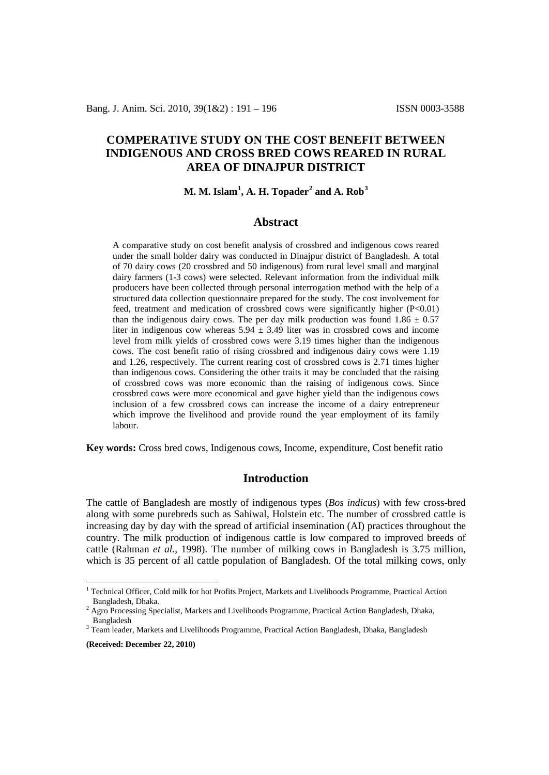# **COMPERATIVE STUDY ON THE COST BENEFIT BETWEEN INDIGENOUS AND CROSS BRED COWS REARED IN RURAL AREA OF DINAJPUR DISTRICT**

## **M. M. Islam[1](#page-0-0) , A. H. Topader[2](#page-0-1) and A. Rob[3](#page-0-2)**

#### **Abstract**

A comparative study on cost benefit analysis of crossbred and indigenous cows reared under the small holder dairy was conducted in Dinajpur district of Bangladesh. A total of 70 dairy cows (20 crossbred and 50 indigenous) from rural level small and marginal dairy farmers (1-3 cows) were selected. Relevant information from the individual milk producers have been collected through personal interrogation method with the help of a structured data collection questionnaire prepared for the study. The cost involvement for feed, treatment and medication of crossbred cows were significantly higher (P<0.01) than the indigenous dairy cows. The per day milk production was found  $1.86 \pm 0.57$ liter in indigenous cow whereas  $5.94 \pm 3.49$  liter was in crossbred cows and income level from milk yields of crossbred cows were 3.19 times higher than the indigenous cows. The cost benefit ratio of rising crossbred and indigenous dairy cows were 1.19 and 1.26, respectively. The current rearing cost of crossbred cows is 2.71 times higher than indigenous cows. Considering the other traits it may be concluded that the raising of crossbred cows was more economic than the raising of indigenous cows. Since crossbred cows were more economical and gave higher yield than the indigenous cows inclusion of a few crossbred cows can increase the income of a dairy entrepreneur which improve the livelihood and provide round the year employment of its family labour.

**Key words:** Cross bred cows, Indigenous cows, Income, expenditure, Cost benefit ratio

## **Introduction**

The cattle of Bangladesh are mostly of indigenous types (*Bos indicus*) with few cross-bred along with some purebreds such as Sahiwal, Holstein etc. The number of crossbred cattle is increasing day by day with the spread of artificial insemination (AI) practices throughout the country. The milk production of indigenous cattle is low compared to improved breeds of cattle (Rahman *et al.*, 1998). The number of milking cows in Bangladesh is 3.75 million, which is 35 percent of all cattle population of Bangladesh. Of the total milking cows, only

**(Received: December 22, 2010)**

<span id="page-0-0"></span><sup>&</sup>lt;sup>1</sup> Technical Officer, Cold milk for hot Profits Project, Markets and Livelihoods Programme, Practical Action

<span id="page-0-1"></span>Bangladesh, Dhaka.<br><sup>2</sup> Agro Processing Specialist, Markets and Livelihoods Programme, Practical Action Bangladesh, Dhaka, Bangladesh

<span id="page-0-2"></span><sup>&</sup>lt;sup>3</sup> Team leader, Markets and Livelihoods Programme, Practical Action Bangladesh, Dhaka, Bangladesh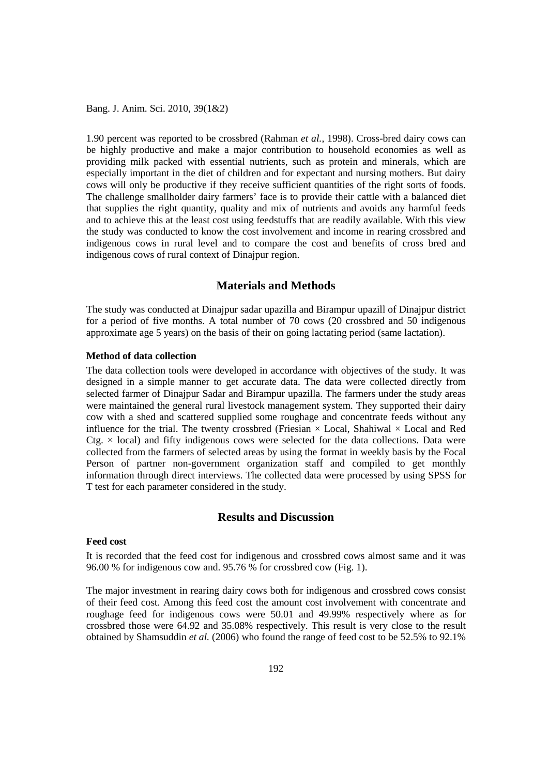Bang. J. Anim. Sci. 2010, 39(1&2)

1.90 percent was reported to be crossbred (Rahman *et al.*, 1998). Cross-bred dairy cows can be highly productive and make a major contribution to household economies as well as providing milk packed with essential nutrients, such as protein and minerals, which are especially important in the diet of children and for expectant and nursing mothers. But dairy cows will only be productive if they receive sufficient quantities of the right sorts of foods. The challenge smallholder dairy farmers' face is to provide their cattle with a balanced diet that supplies the right quantity, quality and mix of nutrients and avoids any harmful feeds and to achieve this at the least cost using feedstuffs that are readily available. With this view the study was conducted to know the cost involvement and income in rearing crossbred and indigenous cows in rural level and to compare the cost and benefits of cross bred and indigenous cows of rural context of Dinajpur region.

## **Materials and Methods**

The study was conducted at Dinajpur sadar upazilla and Birampur upazill of Dinajpur district for a period of five months. A total number of 70 cows (20 crossbred and 50 indigenous approximate age 5 years) on the basis of their on going lactating period (same lactation).

#### **Method of data collection**

The data collection tools were developed in accordance with objectives of the study. It was designed in a simple manner to get accurate data. The data were collected directly from selected farmer of Dinajpur Sadar and Birampur upazilla. The farmers under the study areas were maintained the general rural livestock management system. They supported their dairy cow with a shed and scattered supplied some roughage and concentrate feeds without any influence for the trial. The twenty crossbred (Friesian  $\times$  Local, Shahiwal  $\times$  Local and Red  $C_{\text{t}} \times$  local) and fifty indigenous cows were selected for the data collections. Data were collected from the farmers of selected areas by using the format in weekly basis by the Focal Person of partner non-government organization staff and compiled to get monthly information through direct interviews. The collected data were processed by using SPSS for T test for each parameter considered in the study.

#### **Results and Discussion**

#### **Feed cost**

It is recorded that the feed cost for indigenous and crossbred cows almost same and it was 96.00 % for indigenous cow and. 95.76 % for crossbred cow (Fig. 1).

The major investment in rearing dairy cows both for indigenous and crossbred cows consist of their feed cost. Among this feed cost the amount cost involvement with concentrate and roughage feed for indigenous cows were 50.01 and 49.99% respectively where as for crossbred those were 64.92 and 35.08% respectively. This result is very close to the result obtained by Shamsuddin *et al.* (2006) who found the range of feed cost to be 52.5% to 92.1%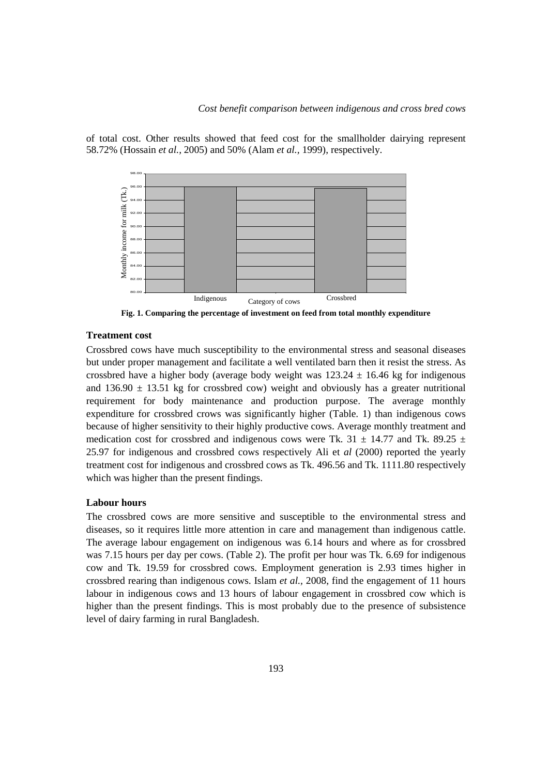of total cost. Other results showed that feed cost for the smallholder dairying represent 58.72% (Hossain *et al.,* 2005) and 50% (Alam *et al.,* 1999), respectively.



**Fig. 1. Comparing the percentage of investment on feed from total monthly expenditure**

#### **Treatment cost**

Crossbred cows have much susceptibility to the environmental stress and seasonal diseases but under proper management and facilitate a well ventilated barn then it resist the stress. As crossbred have a higher body (average body weight was  $123.24 \pm 16.46$  kg for indigenous and 136.90  $\pm$  13.51 kg for crossbred cow) weight and obviously has a greater nutritional requirement for body maintenance and production purpose. The average monthly expenditure for crossbred crows was significantly higher (Table. 1) than indigenous cows because of higher sensitivity to their highly productive cows. Average monthly treatment and medication cost for crossbred and indigenous cows were Tk. 31  $\pm$  14.77 and Tk. 89.25  $\pm$ 25.97 for indigenous and crossbred cows respectively Ali et *al* (2000) reported the yearly treatment cost for indigenous and crossbred cows as Tk. 496.56 and Tk. 1111.80 respectively which was higher than the present findings. Level of the same of the precentage of the data same of the same of the same of the same of the same of the same of the same of the same of the same of the same of the same of the same of the same of the same of the same

#### **Labour hours**

The crossbred cows are more sensitive and susceptible to the environmental stress and diseases, so it requires little more attention in care and management than indigenous cattle. The average labour engagement on indigenous was 6.14 hours and where as for crossbred was 7.15 hours per day per cows. (Table 2). The profit per hour was Tk. 6.69 for indigenous cow and Tk. 19.59 for crossbred cows. Employment generation is 2.93 times higher in crossbred rearing than indigenous cows. Islam *et al.,* 2008, find the engagement of 11 hours labour in indigenous cows and 13 hours of labour engagement in crossbred cow which is higher than the present findings. This is most probably due to the presence of subsistence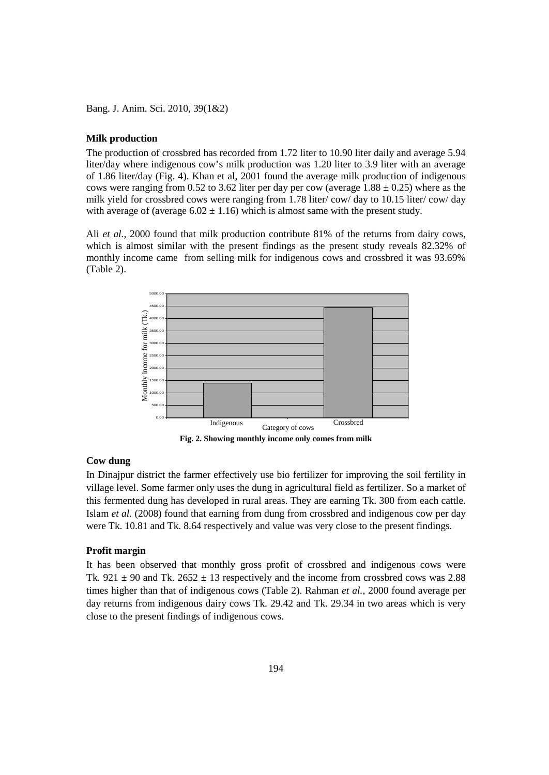Bang. J. Anim. Sci. 2010, 39(1&2)

#### **Milk production**

The production of crossbred has recorded from 1.72 liter to 10.90 liter daily and average 5.94 liter/day where indigenous cow's milk production was 1.20 liter to 3.9 liter with an average of 1.86 liter/day (Fig. 4). Khan et al, 2001 found the average milk production of indigenous cows were ranging from 0.52 to 3.62 liter per day per cow (average  $1.88 \pm 0.25$ ) where as the milk yield for crossbred cows were ranging from 1.78 liter/ cow/ day to 10.15 liter/ cow/ day with average of (average  $6.02 \pm 1.16$ ) which is almost same with the present study.

Ali *et al.,* 2000 found that milk production contribute 81% of the returns from dairy cows, which is almost similar with the present findings as the present study reveals 82.32% of monthly income came from selling milk for indigenous cows and crossbred it was 93.69% (Table 2).



**Fig. 2. Showing monthly income only comes from milk**

## **Cow dung**

In Dinajpur district the farmer effectively use bio fertilizer for improving the soil fertility in village level. Some farmer only uses the dung in agricultural field as fertilizer. So a market of this fermented dung has developed in rural areas. They are earning Tk. 300 from each cattle. Islam *et al.* (2008) found that earning from dung from crossbred and indigenous cow per day were Tk. 10.81 and Tk. 8.64 respectively and value was very close to the present findings.

#### **Profit margin**

It has been observed that monthly gross profit of crossbred and indigenous cows were Tk.  $921 \pm 90$  and Tk.  $2652 \pm 13$  respectively and the income from crossbred cows was 2.88 times higher than that of indigenous cows (Table 2). Rahman *et al.*, 2000 found average per day returns from indigenous dairy cows Tk. 29.42 and Tk. 29.34 in two areas which is very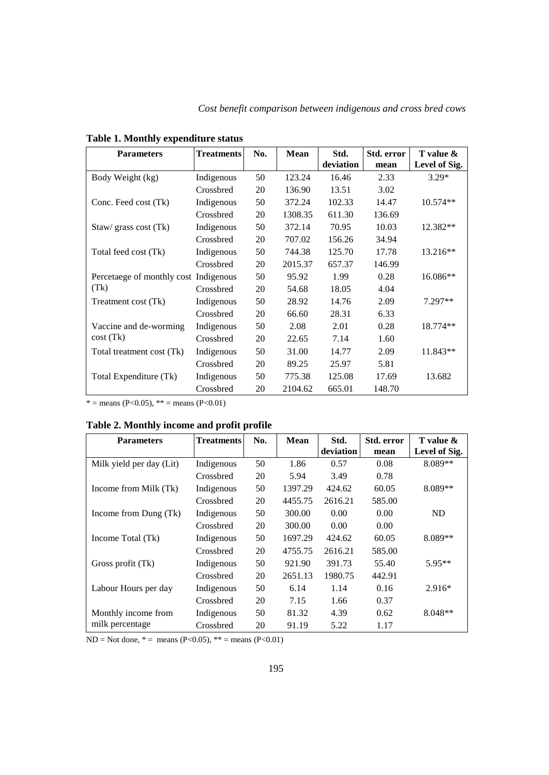| <b>Parameters</b>                     | <b>Treatments</b> | No. | Mean    | Std.<br>deviation | Std. error<br>mean | T value &<br>Level of Sig. |
|---------------------------------------|-------------------|-----|---------|-------------------|--------------------|----------------------------|
| Body Weight (kg)                      | Indigenous        | 50  | 123.24  | 16.46             | 2.33               | $3.29*$                    |
|                                       | Crossbred         | 20  | 136.90  | 13.51             | 3.02               |                            |
| Conc. Feed cost (Tk)                  | Indigenous        | 50  | 372.24  | 102.33            | 14.47              | $10.574**$                 |
|                                       | Crossbred         | 20  | 1308.35 | 611.30            | 136.69             |                            |
| Staw/ grass cost (Tk)                 | Indigenous        | 50  | 372.14  | 70.95             | 10.03              | 12.382**                   |
|                                       | Crossbred         | 20  | 707.02  | 156.26            | 34.94              |                            |
| Total feed cost (Tk)                  | Indigenous        | 50  | 744.38  | 125.70            | 17.78              | $13.216**$                 |
|                                       | Crossbred         | 20  | 2015.37 | 657.37            | 146.99             |                            |
| Percetaege of monthly cost Indigenous |                   | 50  | 95.92   | 1.99              | 0.28               | $16.086**$                 |
| (Tk)                                  | Crossbred         | 20  | 54.68   | 18.05             | 4.04               |                            |
| Treatment cost (Tk)                   | Indigenous        | 50  | 28.92   | 14.76             | 2.09               | $7.297**$                  |
|                                       | Crossbred         | 20  | 66.60   | 28.31             | 6.33               |                            |
| Vaccine and de-worming<br>cost(Tk)    | Indigenous        | 50  | 2.08    | 2.01              | 0.28               | 18.774**                   |
|                                       | Crossbred         | 20  | 22.65   | 7.14              | 1.60               |                            |
| Total treatment cost (Tk)             | Indigenous        | 50  | 31.00   | 14.77             | 2.09               | 11.843**                   |
|                                       | Crossbred         | 20  | 89.25   | 25.97             | 5.81               |                            |
| Total Expenditure (Tk)                | Indigenous        | 50  | 775.38  | 125.08            | 17.69              | 13.682                     |
|                                       | Crossbred         | 20  | 2104.62 | 665.01            | 148.70             |                            |

# **Table 1. Monthly expenditure status**

 $* =$  means (P<0.05),  $** =$  means (P<0.01)

## **Table 2. Monthly income and profit profile**

| <b>Parameters</b>        | <b>Treatments</b> | No. | Mean    | Std.      | Std. error | T value &     |
|--------------------------|-------------------|-----|---------|-----------|------------|---------------|
|                          |                   |     |         | deviation | mean       | Level of Sig. |
| Milk yield per day (Lit) | Indigenous        | 50  | 1.86    | 0.57      | 0.08       | 8.089**       |
|                          | Crossbred         | 20  | 5.94    | 3.49      | 0.78       |               |
| Income from Milk (Tk)    | Indigenous        | 50  | 1397.29 | 424.62    | 60.05      | 8.089**       |
|                          | Crossbred         | 20  | 4455.75 | 2616.21   | 585.00     |               |
| Income from Dung (Tk)    | Indigenous        | 50  | 300.00  | 0.00      | 0.00       | ND            |
|                          | Crossbred         | 20  | 300.00  | 0.00      | 0.00       |               |
| Income Total (Tk)        | Indigenous        | 50  | 1697.29 | 424.62    | 60.05      | $8.089**$     |
|                          | Crossbred         | 20  | 4755.75 | 2616.21   | 585.00     |               |
| Gross profit (Tk)        | Indigenous        | 50  | 921.90  | 391.73    | 55.40      | $5.95**$      |
|                          | Crossbred         | 20  | 2651.13 | 1980.75   | 442.91     |               |
| Labour Hours per day     | Indigenous        | 50  | 6.14    | 1.14      | 0.16       | $2.916*$      |
|                          | Crossbred         | 20  | 7.15    | 1.66      | 0.37       |               |
| Monthly income from      | Indigenous        | 50  | 81.32   | 4.39      | 0.62       | $8.048**$     |
| milk percentage          | Crossbred         | 20  | 91.19   | 5.22      | 1.17       |               |

 $ND = Not$  done,  $* =$  means (P<0.05),  $** =$  means (P<0.01)